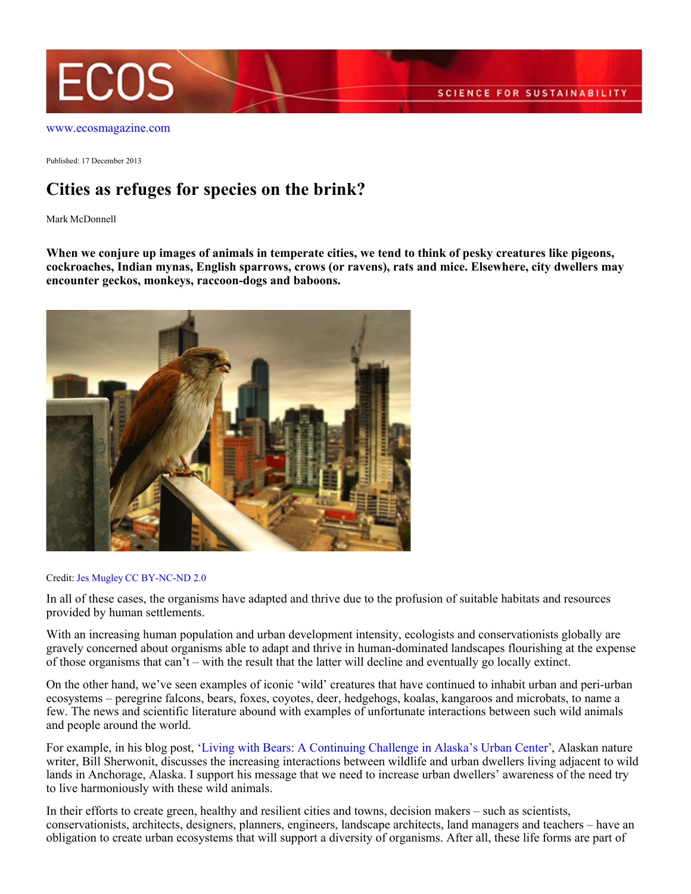

[www.ecosmagazine.com](http://www.ecosmagazine.com)

Published: 17 December 2013

# **Cities as refuges for species on the brink?**

Mark McDonnell

**When we conjure up images of animals in temperate cities, we tend to think of pesky creatures like pigeons, cockroaches, Indian mynas, English sparrows, crows (or ravens), rats and mice. Elsewhere, city dwellers may encounter geckos, monkeys, raccoon-dogs and baboons.**



#### Credit: [Jes Mugley](http://www.flickr.com/photos/mugley) [CC BY-NC-ND 2.0](http://creativecommons.org/licenses/by-nc-nd/2.0/deed.en)

In all of these cases, the organisms have adapted and thrive due to the profusion of suitable habitats and resources provided by human settlements.

With an increasing human population and urban development intensity, ecologists and conservationists globally are gravely concerned about organisms able to adapt and thrive in human-dominated landscapes flourishing at the expense of those organisms that can't – with the result that the latter will decline and eventually go locally extinct.

On the other hand, we've seen examples of iconic 'wild' creatures that have continued to inhabit urban and peri-urban ecosystems – peregrine falcons, bears, foxes, coyotes, deer, hedgehogs, koalas, kangaroos and microbats, to name a few. The news and scientific literature abound with examples of unfortunate interactions between such wild animals and people around the world.

For example, in his blog post, ['Living with Bears: A Continuing Challenge in Alaska's Urban Center'](http://www.thenatureofcities.com/2013/07/14/living-with-bears-a-continuing-challenge-in-alaskas-urban-center/), Alaskan nature writer, Bill Sherwonit, discusses the increasing interactions between wildlife and urban dwellers living adjacent to wild lands in Anchorage, Alaska. I support his message that we need to increase urban dwellers' awareness of the need try to live harmoniously with these wild animals.

In their efforts to create green, healthy and resilient cities and towns, decision makers – such as scientists, conservationists, architects, designers, planners, engineers, landscape architects, land managers and teachers – have an obligation to create urban ecosystems that will support a diversity of organisms. After all, these life forms are part of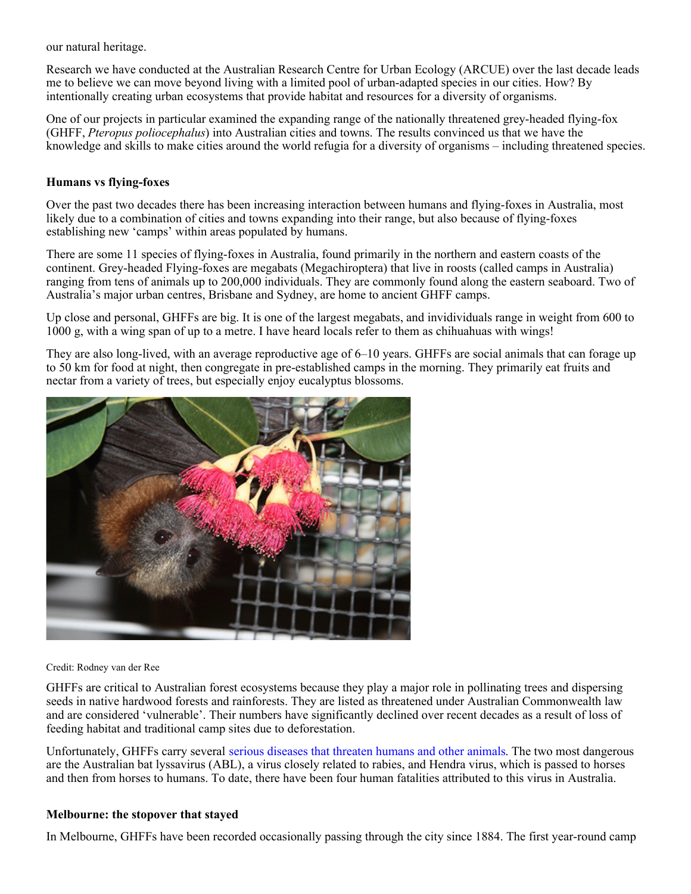our natural heritage.

Research we have conducted at the Australian Research Centre for Urban Ecology (ARCUE) over the last decade leads me to believe we can move beyond living with a limited pool of urban-adapted species in our cities. How? By intentionally creating urban ecosystems that provide habitat and resources for a diversity of organisms.

One of our projects in particular examined the expanding range of the nationally threatened grey-headed flying-fox (GHFF, *Pteropus poliocephalus*) into Australian cities and towns. The results convinced us that we have the knowledge and skills to make cities around the world refugia for a diversity of organisms – including threatened species.

#### **Humans vs flying-foxes**

Over the past two decades there has been increasing interaction between humans and flying-foxes in Australia, most likely due to a combination of cities and towns expanding into their range, but also because of flying-foxes establishing new 'camps' within areas populated by humans.

There are some 11 species of flying-foxes in Australia, found primarily in the northern and eastern coasts of the continent. Grey-headed Flying-foxes are megabats (Megachiroptera) that live in roosts (called camps in Australia) ranging from tens of animals up to 200,000 individuals. They are commonly found along the eastern seaboard. Two of Australia's major urban centres, Brisbane and Sydney, are home to ancient GHFF camps.

Up close and personal, GHFFs are big. It is one of the largest megabats, and invidividuals range in weight from 600 to 1000 g, with a wing span of up to a metre. I have heard locals refer to them as chihuahuas with wings!

They are also long-lived, with an average reproductive age of 6–10 years. GHFFs are social animals that can forage up to 50 km for food at night, then congregate in pre-established camps in the morning. They primarily eat fruits and nectar from a variety of trees, but especially enjoy eucalyptus blossoms.



Credit: Rodney van der Ree

GHFFs are critical to Australian forest ecosystems because they play a major role in pollinating trees and dispersing seeds in native hardwood forests and rainforests. They are listed as threatened under Australian Commonwealth law and are considered 'vulnerable'. Their numbers have significantly declined over recent decades as a result of loss of feeding habitat and traditional camp sites due to deforestation.

Unfortunately, GHFFs carry several [serious diseases that threaten humans and other animals](http://www.csiro.au/Organisation-Structure/Divisions/Animal-Food-and-Health-Sciences/Infectious-diseases-overview/BatPack.aspx). The two most dangerous are the Australian bat lyssavirus (ABL), a virus closely related to rabies, and Hendra virus, which is passed to horses and then from horses to humans. To date, there have been four human fatalities attributed to this virus in Australia.

#### **Melbourne: the stopover that stayed**

In Melbourne, GHFFs have been recorded occasionally passing through the city since 1884. The first year-round camp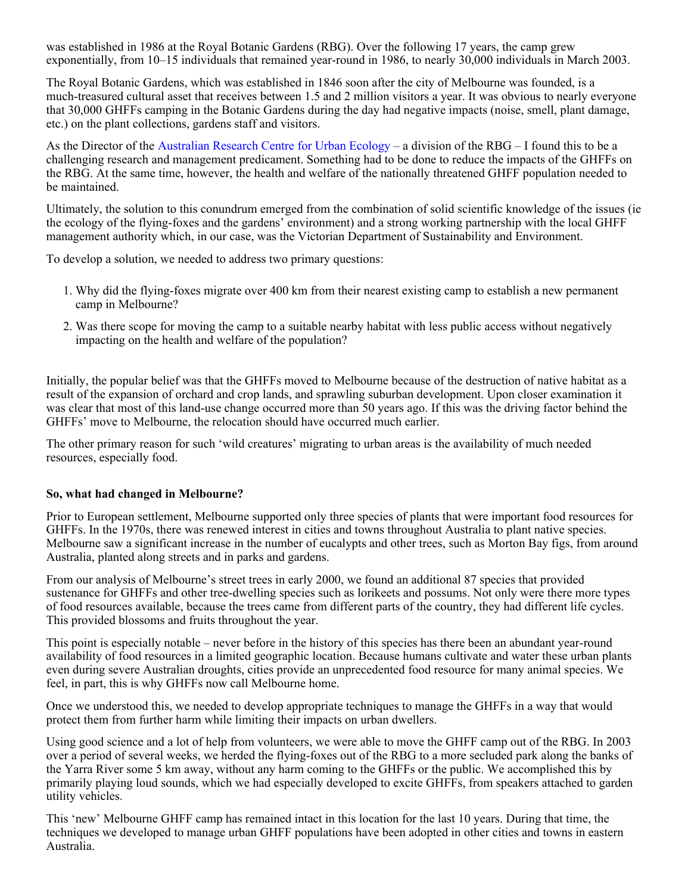was established in 1986 at the Royal Botanic Gardens (RBG). Over the following 17 years, the camp grew exponentially, from 10–15 individuals that remained year-round in 1986, to nearly 30,000 individuals in March 2003.

The Royal Botanic Gardens, which was established in 1846 soon after the city of Melbourne was founded, is a much-treasured cultural asset that receives between 1.5 and 2 million visitors a year. It was obvious to nearly everyone that 30,000 GHFFs camping in the Botanic Gardens during the day had negative impacts (noise, smell, plant damage, etc.) on the plant collections, gardens staff and visitors.

As the Director of the [Australian Research Centre for Urban Ecology](http://www.rbg.vic.gov.au/science/arcue) – a division of the RBG – I found this to be a challenging research and management predicament. Something had to be done to reduce the impacts of the GHFFs on the RBG. At the same time, however, the health and welfare of the nationally threatened GHFF population needed to be maintained.

Ultimately, the solution to this conundrum emerged from the combination of solid scientific knowledge of the issues (ie the ecology of the flying-foxes and the gardens' environment) and a strong working partnership with the local GHFF management authority which, in our case, was the Victorian Department of Sustainability and Environment.

To develop a solution, we needed to address two primary questions:

- 1. Why did the flying-foxes migrate over 400 km from their nearest existing camp to establish a new permanent camp in Melbourne?
- 2. Was there scope for moving the camp to a suitable nearby habitat with less public access without negatively impacting on the health and welfare of the population?

Initially, the popular belief was that the GHFFs moved to Melbourne because of the destruction of native habitat as a result of the expansion of orchard and crop lands, and sprawling suburban development. Upon closer examination it was clear that most of this land-use change occurred more than 50 years ago. If this was the driving factor behind the GHFFs' move to Melbourne, the relocation should have occurred much earlier.

The other primary reason for such 'wild creatures' migrating to urban areas is the availability of much needed resources, especially food.

## **So, what had changed in Melbourne?**

Prior to European settlement, Melbourne supported only three species of plants that were important food resources for GHFFs. In the 1970s, there was renewed interest in cities and towns throughout Australia to plant native species. Melbourne saw a significant increase in the number of eucalypts and other trees, such as Morton Bay figs, from around Australia, planted along streets and in parks and gardens.

From our analysis of Melbourne's street trees in early 2000, we found an additional 87 species that provided sustenance for GHFFs and other tree-dwelling species such as lorikeets and possums. Not only were there more types of food resources available, because the trees came from different parts of the country, they had different life cycles. This provided blossoms and fruits throughout the year.

This point is especially notable – never before in the history of this species has there been an abundant year-round availability of food resources in a limited geographic location. Because humans cultivate and water these urban plants even during severe Australian droughts, cities provide an unprecedented food resource for many animal species. We feel, in part, this is why GHFFs now call Melbourne home.

Once we understood this, we needed to develop appropriate techniques to manage the GHFFs in a way that would protect them from further harm while limiting their impacts on urban dwellers.

Using good science and a lot of help from volunteers, we were able to move the GHFF camp out of the RBG. In 2003 over a period of several weeks, we herded the flying-foxes out of the RBG to a more secluded park along the banks of the Yarra River some 5 km away, without any harm coming to the GHFFs or the public. We accomplished this by primarily playing loud sounds, which we had especially developed to excite GHFFs, from speakers attached to garden utility vehicles.

This 'new' Melbourne GHFF camp has remained intact in this location for the last 10 years. During that time, the techniques we developed to manage urban GHFF populations have been adopted in other cities and towns in eastern Australia.